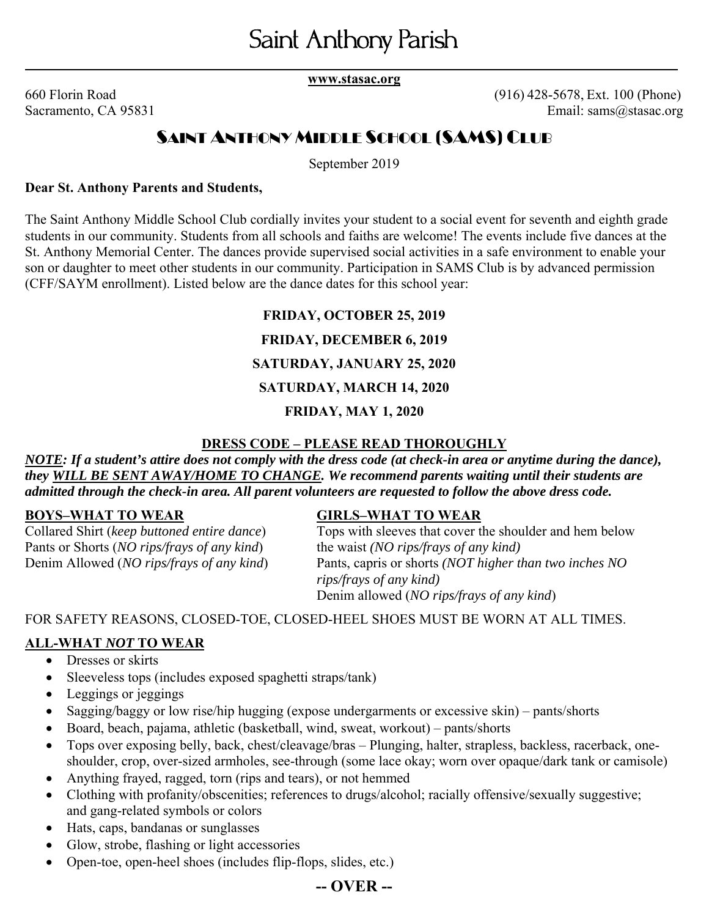**\_\_\_ \_\_\_\_ www.stasac.org** 

660 Florin Road (916) 428-5678, Ext. 100 (Phone) Sacramento, CA 95831 Email: sams@stasac.org

# SAINT ANTHONY MIDDLE SCHOOL (SAMS) CLUB

September 2019

#### **Dear St. Anthony Parents and Students,**

The Saint Anthony Middle School Club cordially invites your student to a social event for seventh and eighth grade students in our community. Students from all schools and faiths are welcome! The events include five dances at the St. Anthony Memorial Center. The dances provide supervised social activities in a safe environment to enable your son or daughter to meet other students in our community. Participation in SAMS Club is by advanced permission (CFF/SAYM enrollment). Listed below are the dance dates for this school year:

# **FRIDAY, OCTOBER 25, 2019**

#### **FRIDAY, DECEMBER 6, 2019**

### **SATURDAY, JANUARY 25, 2020**

### **SATURDAY, MARCH 14, 2020**

### **FRIDAY, MAY 1, 2020**

#### **DRESS CODE – PLEASE READ THOROUGHLY**

*NOTE: If a student's attire does not comply with the dress code (at check-in area or anytime during the dance), they WILL BE SENT AWAY/HOME TO CHANGE. We recommend parents waiting until their students are admitted through the check-in area. All parent volunteers are requested to follow the above dress code.*

Pants or Shorts (*NO rips/frays of any kind*) the waist *(NO rips/frays of any kind)*

#### **BOYS–WHAT TO WEAR GIRLS–WHAT TO WEAR**

Collared Shirt (*keep buttoned entire dance*) Tops with sleeves that cover the shoulder and hem below Denim Allowed (*NO rips/frays of any kind*) Pants, capris or shorts *(NOT higher than two inches NO rips/frays of any kind)* Denim allowed (*NO rips/frays of any kind*)

FOR SAFETY REASONS, CLOSED-TOE, CLOSED-HEEL SHOES MUST BE WORN AT ALL TIMES.

### **ALL-WHAT** *NOT* **TO WEAR**

- Dresses or skirts
- Sleeveless tops (includes exposed spaghetti straps/tank)
- Leggings or jeggings
- Sagging/baggy or low rise/hip hugging (expose undergarments or excessive skin) pants/shorts
- Board, beach, pajama, athletic (basketball, wind, sweat, workout) pants/shorts
- Tops over exposing belly, back, chest/cleavage/bras Plunging, halter, strapless, backless, racerback, oneshoulder, crop, over-sized armholes, see-through (some lace okay; worn over opaque/dark tank or camisole)
- Anything frayed, ragged, torn (rips and tears), or not hemmed
- Clothing with profanity/obscenities; references to drugs/alcohol; racially offensive/sexually suggestive; and gang-related symbols or colors
- Hats, caps, bandanas or sunglasses
- Glow, strobe, flashing or light accessories
- Open-toe, open-heel shoes (includes flip-flops, slides, etc.)

# **-- OVER --**